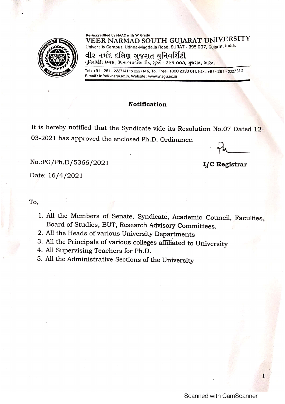

Re-Accredited by NAAC with 'A' Grade VEER NARMAD SOUTH GUJARAT UNIVERSITY University Campus, Udhna-Magdalla Road, SURAT - 395 007, Gujarat, India.

વીર નર્મદ દક્ષિણ ગજરાત યનિવર્સિટી યુનિવર્સિટી કેમ્પસ, ઉધના-મગદલ્લા રોડ, સુરત - ૩૯૫ ૦૦૭, ગુજરાત, ભારત.

Tel: +91 - 261 - 2227141 to 2227146, Toll Free: 1800 2333 011, Fax: +91 - 261 - 2227312 E-mail: info@vnsgu.ac.in, Website: www.vnsgu.ac.in

### **Notification**

It is hereby notified that the Syndicate vide its Resolution No.07 Dated 12-03-2021 has approved the enclosed Ph.D. Ordinance.

No.:PG/Ph.D/5366/2021

I/C Registrar

Date: 16/4/2021

To,

- 1. All the Members of Senate, Syndicate, Academic Council, Faculties, Board of Studies, BUT, Research Advisory Committees.
- 2. All the Heads of various University Departments
- 3. All the Principals of various colleges affiliated to University
- 4. All Supervising Teachers for Ph.D.
- 5. All the Administrative Sections of the University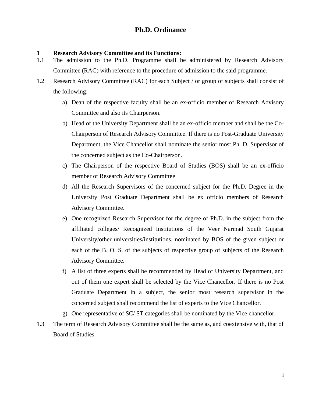## **Ph.D. Ordinance**

#### **1 Research Advisory Committee and its Functions:**

- 1.1 The admission to the Ph.D. Programme shall be administered by Research Advisory Committee (RAC) with reference to the procedure of admission to the said programme.
- 1.2 Research Advisory Committee (RAC) for each Subject / or group of subjects shall consist of the following:
	- a) Dean of the respective faculty shall be an ex-officio member of Research Advisory Committee and also its Chairperson.
	- b) Head of the University Department shall be an ex-officio member and shall be the Co-Chairperson of Research Advisory Committee. If there is no Post-Graduate University Department, the Vice Chancellor shall nominate the senior most Ph. D. Supervisor of the concerned subject as the Co-Chairperson.
	- c) The Chairperson of the respective Board of Studies (BOS) shall be an ex-officio member of Research Advisory Committee
	- d) All the Research Supervisors of the concerned subject for the Ph.D. Degree in the University Post Graduate Department shall be ex officio members of Research Advisory Committee.
	- e) One recognized Research Supervisor for the degree of Ph.D. in the subject from the affiliated colleges/ Recognized Institutions of the Veer Narmad South Gujarat University/other universities/institutions, nominated by BOS of the given subject or each of the B. O. S. of the subjects of respective group of subjects of the Research Advisory Committee.
	- f) A list of three experts shall be recommended by Head of University Department, and out of them one expert shall be selected by the Vice Chancellor. If there is no Post Graduate Department in a subject, the senior most research supervisor in the concerned subject shall recommend the list of experts to the Vice Chancellor.
	- g) One representative of SC/ ST categories shall be nominated by the Vice chancellor.
- 1.3 The term of Research Advisory Committee shall be the same as, and coextensive with, that of Board of Studies.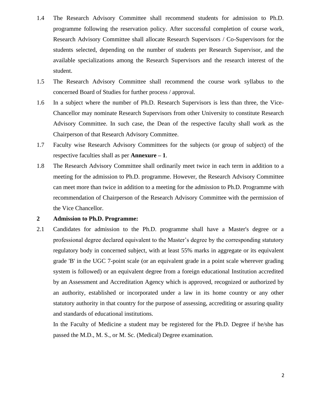- 1.4 The Research Advisory Committee shall recommend students for admission to Ph.D. programme following the reservation policy. After successful completion of course work, Research Advisory Committee shall allocate Research Supervisors / Co-Supervisors for the students selected, depending on the number of students per Research Supervisor, and the available specializations among the Research Supervisors and the research interest of the student.
- 1.5 The Research Advisory Committee shall recommend the course work syllabus to the concerned Board of Studies for further process / approval.
- 1.6 In a subject where the number of Ph.D. Research Supervisors is less than three, the Vice-Chancellor may nominate Research Supervisors from other University to constitute Research Advisory Committee. In such case, the Dean of the respective faculty shall work as the Chairperson of that Research Advisory Committee.
- 1.7 Faculty wise Research Advisory Committees for the subjects (or group of subject) of the respective faculties shall as per **Annexure – 1**.
- 1.8 The Research Advisory Committee shall ordinarily meet twice in each term in addition to a meeting for the admission to Ph.D. programme. However, the Research Advisory Committee can meet more than twice in addition to a meeting for the admission to Ph.D. Programme with recommendation of Chairperson of the Research Advisory Committee with the permission of the Vice Chancellor.

#### **2 Admission to Ph.D. Programme:**

2.1 Candidates for admission to the Ph.D. programme shall have a Master's degree or a professional degree declared equivalent to the Master's degree by the corresponding statutory regulatory body in concerned subject, with at least 55% marks in aggregate or its equivalent grade 'B' in the UGC 7-point scale (or an equivalent grade in a point scale wherever grading system is followed) or an equivalent degree from a foreign educational Institution accredited by an Assessment and Accreditation Agency which is approved, recognized or authorized by an authority, established or incorporated under a law in its home country or any other statutory authority in that country for the purpose of assessing, accrediting or assuring quality and standards of educational institutions.

In the Faculty of Medicine a student may be registered for the Ph.D. Degree if he/she has passed the M.D., M. S., or M. Sc. (Medical) Degree examination.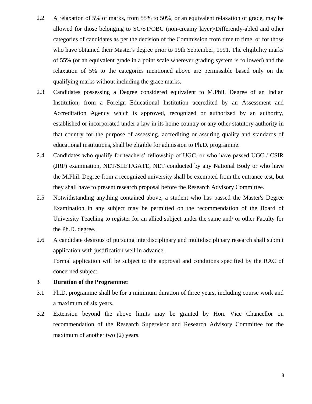- 2.2 A relaxation of 5% of marks, from 55% to 50%, or an equivalent relaxation of grade, may be allowed for those belonging to SC/ST/OBC (non-creamy layer)/Differently-abled and other categories of candidates as per the decision of the Commission from time to time, or for those who have obtained their Master's degree prior to 19th September, 1991. The eligibility marks of 55% (or an equivalent grade in a point scale wherever grading system is followed) and the relaxation of 5% to the categories mentioned above are permissible based only on the qualifying marks without including the grace marks.
- 2.3 Candidates possessing a Degree considered equivalent to M.Phil. Degree of an Indian Institution, from a Foreign Educational Institution accredited by an Assessment and Accreditation Agency which is approved, recognized or authorized by an authority, established or incorporated under a law in its home country or any other statutory authority in that country for the purpose of assessing, accrediting or assuring quality and standards of educational institutions, shall be eligible for admission to Ph.D. programme.
- 2.4 Candidates who qualify for teachers' fellowship of UGC, or who have passed UGC / CSIR (JRF) examination, NET/SLET/GATE, NET conducted by any National Body or who have the M.Phil. Degree from a recognized university shall be exempted from the entrance test, but they shall have to present research proposal before the Research Advisory Committee.
- 2.5 Notwithstanding anything contained above, a student who has passed the Master's Degree Examination in any subject may be permitted on the recommendation of the Board of University Teaching to register for an allied subject under the same and/ or other Faculty for the Ph.D. degree.
- 2.6 A candidate desirous of pursuing interdisciplinary and multidisciplinary research shall submit application with justification well in advance. Formal application will be subject to the approval and conditions specified by the RAC of

**3 Duration of the Programme:** 

concerned subject.

- 3.1 Ph.D. programme shall be for a minimum duration of three years, including course work and a maximum of six years.
- 3.2 Extension beyond the above limits may be granted by Hon. Vice Chancellor on recommendation of the Research Supervisor and Research Advisory Committee for the maximum of another two (2) years.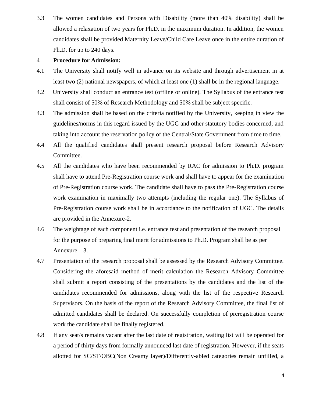3.3 The women candidates and Persons with Disability (more than 40% disability) shall be allowed a relaxation of two years for Ph.D. in the maximum duration. In addition, the women candidates shall be provided Maternity Leave/Child Care Leave once in the entire duration of Ph.D. for up to 240 days.

### 4 **Procedure for Admission:**

- 4.1 The University shall notify well in advance on its website and through advertisement in at least two (2) national newspapers, of which at least one (1) shall be in the regional language.
- 4.2 University shall conduct an entrance test (offline or online). The Syllabus of the entrance test shall consist of 50% of Research Methodology and 50% shall be subject specific.
- 4.3 The admission shall be based on the criteria notified by the University, keeping in view the guidelines/norms in this regard issued by the UGC and other statutory bodies concerned, and taking into account the reservation policy of the Central/State Government from time to time.
- 4.4 All the qualified candidates shall present research proposal before Research Advisory Committee.
- 4.5 All the candidates who have been recommended by RAC for admission to Ph.D. program shall have to attend Pre-Registration course work and shall have to appear for the examination of Pre-Registration course work. The candidate shall have to pass the Pre-Registration course work examination in maximally two attempts (including the regular one). The Syllabus of Pre-Registration course work shall be in accordance to the notification of UGC. The details are provided in the Annexure-2.
- 4.6 The weightage of each component i.e. entrance test and presentation of the research proposal for the purpose of preparing final merit for admissions to Ph.D. Program shall be as per Annexure  $-3$ .
- 4.7 Presentation of the research proposal shall be assessed by the Research Advisory Committee. Considering the aforesaid method of merit calculation the Research Advisory Committee shall submit a report consisting of the presentations by the candidates and the list of the candidates recommended for admissions, along with the list of the respective Research Supervisors. On the basis of the report of the Research Advisory Committee, the final list of admitted candidates shall be declared. On successfully completion of preregistration course work the candidate shall be finally registered.
- 4.8 If any seat/s remains vacant after the last date of registration, waiting list will be operated for a period of thirty days from formally announced last date of registration. However, if the seats allotted for SC/ST/OBC(Non Creamy layer)/Differently-abled categories remain unfilled, a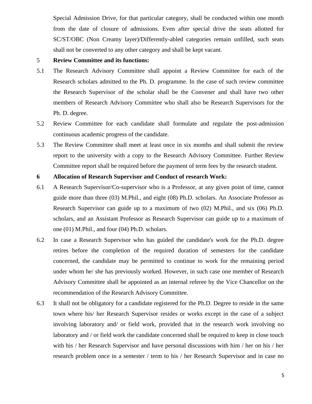Special Admission Drive, for that particular category, shall be conducted within one month from the date of closure of admissions. Even after special drive the seats allotted for SC/ST/OBC (Non Creamy layer)/Differently-abled categories remain unfilled, such seats shall not be converted to any other category and shall be kept vacant.

### 5 **Review Committee and its functions:**

- 5.1 The Research Advisory Committee shall appoint a Review Committee for each of the Research scholars admitted to the Ph. D. programme. In the case of such review committee the Research Supervisor of the scholar shall be the Convener and shall have two other members of Research Advisory Committee who shall also be Research Supervisors for the Ph. D. degree.
- 5.2 Review Committee for each candidate shall formulate and regulate the post-admission continuous academic progress of the candidate.
- 5.3 The Review Committee shall meet at least once in six months and shall submit the review report to the university with a copy to the Research Advisory Committee. Further Review Committee report shall be required before the payment of term fees by the research student.

### **6 Allocation of Research Supervisor and Conduct of research Work:**

- 6.1 A Research Supervisor/Co-supervisor who is a Professor, at any given point of time, cannot guide more than three (03) M.Phil., and eight (08) Ph.D. scholars. An Associate Professor as Research Supervisor can guide up to a maximum of two (02) M.Phil., and six (06) Ph.D. scholars, and an Assistant Professor as Research Supervisor can guide up to a maximum of one (01) M.Phil., and four (04) Ph.D. scholars.
- 6.2 In case a Research Supervisor who has guided the candidate's work for the Ph.D. degree retires before the completion of the required duration of semesters for the candidate concerned, the candidate may be permitted to continue to work for the remaining period under whom he/ she has previously worked. However, in such case one member of Research Advisory Committee shall be appointed as an internal referee by the Vice Chancellor on the recommendation of the Research Advisory Committee.
- 6.3 It shall not be obligatory for a candidate registered for the Ph.D. Degree to reside in the same town where his/ her Research Supervisor resides or works except in the case of a subject involving laboratory and/ or field work, provided that in the research work involving no laboratory and / or field work the candidate concerned shall be required to keep in close touch with his / her Research Supervisor and have personal discussions with him / her on his / her research problem once in a semester / term to his / her Research Supervisor and in case no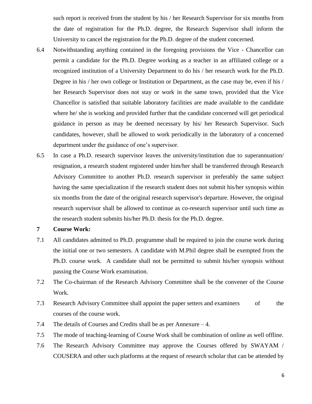such report is received from the student by his / her Research Supervisor for six months from the date of registration for the Ph.D. degree, the Research Supervisor shall inform the University to cancel the registration for the Ph.D. degree of the student concerned.

- 6.4 Notwithstanding anything contained in the foregoing provisions the Vice Chancellor can permit a candidate for the Ph.D. Degree working as a teacher in an affiliated college or a recognized institution of a University Department to do his / her research work for the Ph.D. Degree in his / her own college or Institution or Department, as the case may be, even if his / her Research Supervisor does not stay or work in the same town, provided that the Vice Chancellor is satisfied that suitable laboratory facilities are made available to the candidate where he/ she is working and provided further that the candidate concerned will get periodical guidance in person as may be deemed necessary by his/ her Research Supervisor. Such candidates, however, shall be allowed to work periodically in the laboratory of a concerned department under the guidance of one's supervisor.
- 6.5 In case a Ph.D. research supervisor leaves the university/institution due to superannuation/ resignation, a research student registered under him/her shall be transferred through Research Advisory Committee to another Ph.D. research supervisor in preferably the same subject having the same specialization if the research student does not submit his/her synopsis within six months from the date of the original research supervisor's departure. However, the original research supervisor shall be allowed to continue as co-research supervisor until such time as the research student submits his/her Ph.D. thesis for the Ph.D. degree.

#### **7 Course Work:**

- 7.1 All candidates admitted to Ph.D. programme shall be required to join the course work during the initial one or two semesters. A candidate with M.Phil degree shall be exempted from the Ph.D. course work. A candidate shall not be permitted to submit his/her synopsis without passing the Course Work examination.
- 7.2 The Co-chairman of the Research Advisory Committee shall be the convener of the Course Work.
- 7.3 Research Advisory Committee shall appoint the paper setters and examiners of the courses of the course work.
- 7.4 The details of Courses and Credits shall be as per Annexure 4.
- 7.5 The mode of teaching-learning of Course Work shall be combination of online as well offline.
- 7.6 The Research Advisory Committee may approve the Courses offered by SWAYAM / COUSERA and other such platforms at the request of research scholar that can be attended by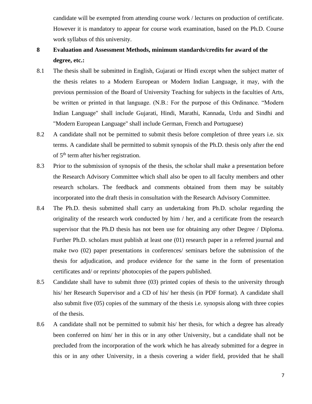candidate will be exempted from attending course work / lectures on production of certificate. However it is mandatory to appear for course work examination, based on the Ph.D. Course work syllabus of this university.

# **8 Evaluation and Assessment Methods, minimum standards/credits for award of the degree, etc.:**

- 8.1 The thesis shall be submitted in English, Gujarati or Hindi except when the subject matter of the thesis relates to a Modern European or Modern Indian Language, it may, with the previous permission of the Board of University Teaching for subjects in the faculties of Arts, be written or printed in that language. (N.B.: For the purpose of this Ordinance. "Modern Indian Language" shall include Gujarati, Hindi, Marathi, Kannada, Urdu and Sindhi and "Modern European Language" shall include German, French and Portuguese)
- 8.2 A candidate shall not be permitted to submit thesis before completion of three years i.e. six terms. A candidate shall be permitted to submit synopsis of the Ph.D. thesis only after the end of 5<sup>th</sup> term after his/her registration.
- 8.3 Prior to the submission of synopsis of the thesis, the scholar shall make a presentation before the Research Advisory Committee which shall also be open to all faculty members and other research scholars. The feedback and comments obtained from them may be suitably incorporated into the draft thesis in consultation with the Research Advisory Committee.
- 8.4 The Ph.D. thesis submitted shall carry an undertaking from Ph.D. scholar regarding the originality of the research work conducted by him / her, and a certificate from the research supervisor that the Ph.D thesis has not been use for obtaining any other Degree / Diploma. Further Ph.D. scholars must publish at least one (01) research paper in a referred journal and make two (02) paper presentations in conferences/ seminars before the submission of the thesis for adjudication, and produce evidence for the same in the form of presentation certificates and/ or reprints/ photocopies of the papers published.
- 8.5 Candidate shall have to submit three (03) printed copies of thesis to the university through his/ her Research Supervisor and a CD of his/ her thesis (in PDF format). A candidate shall also submit five (05) copies of the summary of the thesis i.e. synopsis along with three copies of the thesis.
- 8.6 A candidate shall not be permitted to submit his/ her thesis, for which a degree has already been conferred on him/ her in this or in any other University, but a candidate shall not be precluded from the incorporation of the work which he has already submitted for a degree in this or in any other University, in a thesis covering a wider field, provided that he shall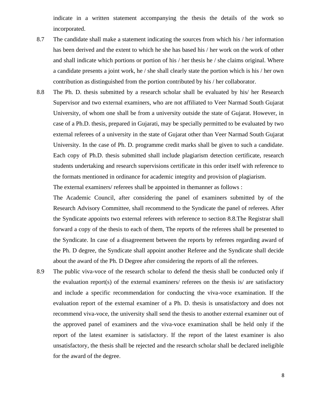indicate in a written statement accompanying the thesis the details of the work so incorporated.

- 8.7 The candidate shall make a statement indicating the sources from which his / her information has been derived and the extent to which he she has based his / her work on the work of other and shall indicate which portions or portion of his / her thesis he / she claims original. Where a candidate presents a joint work, he / she shall clearly state the portion which is his / her own contribution as distinguished from the portion contributed by his / her collaborator.
- 8.8 The Ph. D. thesis submitted by a research scholar shall be evaluated by his/ her Research Supervisor and two external examiners, who are not affiliated to Veer Narmad South Gujarat University, of whom one shall be from a university outside the state of Gujarat. However, in case of a Ph.D. thesis, prepared in Gujarati, may be specially permitted to be evaluated by two external referees of a university in the state of Gujarat other than Veer Narmad South Gujarat University. In the case of Ph. D. programme credit marks shall be given to such a candidate. Each copy of Ph.D. thesis submitted shall include plagiarism detection certificate, research students undertaking and research supervisions certificate in this order itself with reference to the formats mentioned in ordinance for academic integrity and provision of plagiarism. The external examiners/ referees shall be appointed in themanner as follows :

The Academic Council, after considering the panel of examiners submitted by of the Research Advisory Committee, shall recommend to the Syndicate the panel of referees. After the Syndicate appoints two external referees with reference to section 8.8.The Registrar shall forward a copy of the thesis to each of them, The reports of the referees shall be presented to the Syndicate. In case of a disagreement between the reports by referees regarding award of the Ph. D degree, the Syndicate shall appoint another Referee and the Syndicate shall decide about the award of the Ph. D Degree after considering the reports of all the referees.

8.9 The public viva-voce of the research scholar to defend the thesis shall be conducted only if the evaluation report(s) of the external examiners/ referees on the thesis is/ are satisfactory and include a specific recommendation for conducting the viva-voce examination. If the evaluation report of the external examiner of a Ph. D. thesis is unsatisfactory and does not recommend viva-voce, the university shall send the thesis to another external examiner out of the approved panel of examiners and the viva-voce examination shall be held only if the report of the latest examiner is satisfactory. If the report of the latest examiner is also unsatisfactory, the thesis shall be rejected and the research scholar shall be declared ineligible for the award of the degree.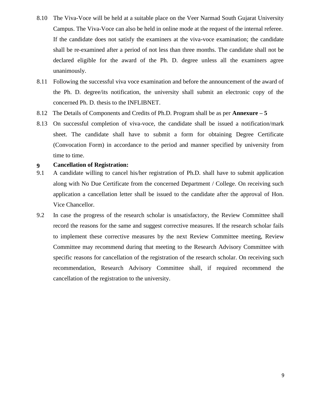- 8.10 The Viva-Voce will be held at a suitable place on the Veer Narmad South Gujarat University Campus. The Viva-Voce can also be held in online mode at the request of the internal referee. If the candidate does not satisfy the examiners at the viva-voce examination; the candidate shall be re-examined after a period of not less than three months. The candidate shall not be declared eligible for the award of the Ph. D. degree unless all the examiners agree unanimously.
- 8.11 Following the successful viva voce examination and before the announcement of the award of the Ph. D. degree/its notification, the university shall submit an electronic copy of the concerned Ph. D. thesis to the INFLIBNET.
- 8.12 The Details of Components and Credits of Ph.D. Program shall be as per **Annexure – 5**
- 8.13 On successful completion of viva-voce, the candidate shall be issued a notification/mark sheet. The candidate shall have to submit a form for obtaining Degree Certificate (Convocation Form) in accordance to the period and manner specified by university from time to time.

#### **9 Cancellation of Registration:**

- 9.1 A candidate willing to cancel his/her registration of Ph.D. shall have to submit application along with No Due Certificate from the concerned Department / College. On receiving such application a cancellation letter shall be issued to the candidate after the approval of Hon. Vice Chancellor.
- 9.2 In case the progress of the research scholar is unsatisfactory, the Review Committee shall record the reasons for the same and suggest corrective measures. If the research scholar fails to implement these corrective measures by the next Review Committee meeting, Review Committee may recommend during that meeting to the Research Advisory Committee with specific reasons for cancellation of the registration of the research scholar. On receiving such recommendation, Research Advisory Committee shall, if required recommend the cancellation of the registration to the university.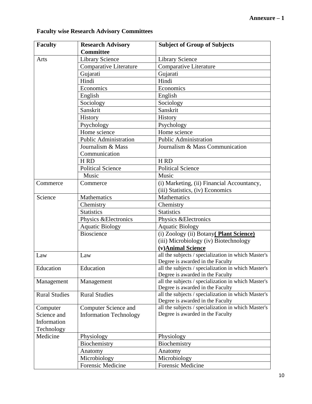| <b>Faculty</b>       | <b>Research Advisory</b><br><b>Committee</b> | <b>Subject of Group of Subjects</b>                                                     |
|----------------------|----------------------------------------------|-----------------------------------------------------------------------------------------|
| Arts                 | <b>Library Science</b>                       | <b>Library Science</b>                                                                  |
|                      | <b>Comparative Literature</b>                | <b>Comparative Literature</b>                                                           |
|                      | Gujarati                                     | Gujarati                                                                                |
|                      | Hindi                                        | Hindi                                                                                   |
|                      | Economics                                    | Economics                                                                               |
|                      | English                                      | English                                                                                 |
|                      | Sociology                                    | Sociology                                                                               |
|                      | Sanskrit                                     | Sanskrit                                                                                |
|                      | <b>History</b>                               | History                                                                                 |
|                      | Psychology                                   | Psychology                                                                              |
|                      | Home science                                 | Home science                                                                            |
|                      | <b>Public Administration</b>                 | <b>Public Administration</b>                                                            |
|                      | Journalism & Mass                            | Journalism & Mass Communication                                                         |
|                      | Communication                                |                                                                                         |
|                      | H <sub>RD</sub>                              | H <sub>RD</sub>                                                                         |
|                      | <b>Political Science</b>                     | <b>Political Science</b>                                                                |
|                      | Music                                        | Music                                                                                   |
| Commerce             | Commerce                                     | (i) Marketing, (ii) Financial Accountancy,                                              |
|                      |                                              | (iii) Statistics, (iv) Economics                                                        |
| Science              | Mathematics                                  | Mathematics                                                                             |
|                      | Chemistry                                    | Chemistry                                                                               |
|                      | <b>Statistics</b>                            | <b>Statistics</b>                                                                       |
|                      | Physics & Electronics                        | Physics & Electronics                                                                   |
|                      | <b>Aquatic Biology</b>                       | <b>Aquatic Biology</b>                                                                  |
|                      | <b>Bioscience</b>                            | (i) Zoology (ii) Botany(Plant Science)                                                  |
|                      |                                              | (iii) Microbiology (iv) Biotechnology                                                   |
|                      |                                              | (v)Animal Science                                                                       |
| Law                  | Law                                          | all the subjects / specialization in which Master's                                     |
|                      |                                              | Degree is awarded in the Faculty                                                        |
| Education            | Education                                    | all the subjects / specialization in which Master's                                     |
|                      |                                              | Degree is awarded in the Faculty                                                        |
| Management           | Management                                   | all the subjects / specialization in which Master's                                     |
|                      |                                              | Degree is awarded in the Faculty                                                        |
| <b>Rural Studies</b> | <b>Rural Studies</b>                         | all the subjects / specialization in which Master's<br>Degree is awarded in the Faculty |
| Computer             | <b>Computer Science and</b>                  | all the subjects / specialization in which Master's                                     |
| Science and          | <b>Information Technology</b>                | Degree is awarded in the Faculty                                                        |
| Information          |                                              |                                                                                         |
| Technology           |                                              |                                                                                         |
| Medicine             | Physiology                                   | Physiology                                                                              |
|                      | Biochemistry                                 | Biochemistry                                                                            |
|                      | Anatomy                                      | Anatomy                                                                                 |
|                      | Microbiology                                 | Microbiology                                                                            |
|                      | Forensic Medicine                            | Forensic Medicine                                                                       |

# **Faculty wise Research Advisory Committees**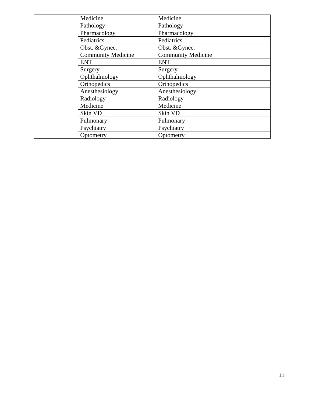| Medicine                  | Medicine                  |
|---------------------------|---------------------------|
| Pathology                 | Pathology                 |
| Pharmacology              | Pharmacology              |
| Pediatrics                | Pediatrics                |
| Obst. &Gynec.             | Obst. &Gynec.             |
| <b>Community Medicine</b> | <b>Community Medicine</b> |
| <b>ENT</b>                | <b>ENT</b>                |
| Surgery                   | Surgery                   |
| Ophthalmology             | Ophthalmology             |
| Orthopedics               | Orthopedics               |
| Anesthesiology            | Anesthesiology            |
| Radiology                 | Radiology                 |
| Medicine                  | Medicine                  |
| Skin VD                   | Skin VD                   |
| Pulmonary                 | Pulmonary                 |
| Psychiatry                | Psychiatry                |
| Optometry                 | Optometry                 |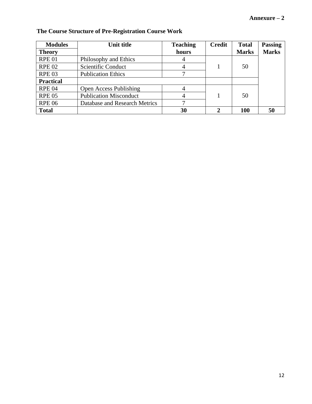| <b>Modules</b>   | <b>Unit title</b>             | <b>Teaching</b> | <b>Credit</b> | <b>Total</b> | <b>Passing</b> |
|------------------|-------------------------------|-----------------|---------------|--------------|----------------|
| <b>Theory</b>    |                               | hours           |               | <b>Marks</b> | <b>Marks</b>   |
| <b>RPE 01</b>    | Philosophy and Ethics         | 4               |               |              |                |
| <b>RPE 02</b>    | Scientific Conduct            |                 |               | 50           |                |
| <b>RPE 03</b>    | <b>Publication Ethics</b>     | ⇁               |               |              |                |
| <b>Practical</b> |                               |                 |               |              |                |
| <b>RPE 04</b>    | Open Access Publishing        | 4               |               |              |                |
| <b>RPE 05</b>    | <b>Publication Misconduct</b> | 4               |               | 50           |                |
| <b>RPE 06</b>    | Database and Research Metrics | ┑               |               |              |                |
| <b>Total</b>     |                               | 30              |               | 100          | 50             |

# **The Course Structure of Pre-Registration Course Work**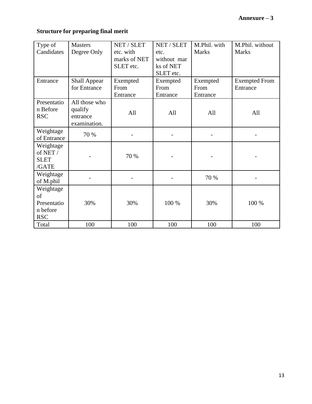# **Structure for preparing final merit**

| Type of<br>Candidates   | <b>Masters</b><br>Degree Only | NET / SLET<br>etc. with | NET / SLET<br>etc. | M.Phil. with<br><b>Marks</b> | M.Phil. without<br><b>Marks</b> |
|-------------------------|-------------------------------|-------------------------|--------------------|------------------------------|---------------------------------|
|                         |                               | marks of NET            | without mar        |                              |                                 |
|                         |                               | SLET etc.               | ks of NET          |                              |                                 |
|                         |                               |                         | SLET etc.          |                              |                                 |
| Entrance                | Shall Appear                  | Exempted                | Exempted           | Exempted                     | <b>Exempted From</b>            |
|                         | for Entrance                  | From                    | From               | From                         | Entrance                        |
|                         |                               | Entrance                | Entrance           | Entrance                     |                                 |
| Presentatio<br>n Before | All those who<br>qualify      |                         |                    |                              |                                 |
| <b>RSC</b>              | entrance                      | All                     | All                | All                          | All                             |
|                         | examination.                  |                         |                    |                              |                                 |
| Weightage               | 70 %                          |                         |                    |                              |                                 |
| of Entrance             |                               |                         |                    |                              |                                 |
| Weightage               |                               |                         |                    |                              |                                 |
| of NET /                |                               | 70 %                    |                    |                              |                                 |
| <b>SLET</b>             |                               |                         |                    |                              |                                 |
| /GATE                   |                               |                         |                    |                              |                                 |
| Weightage               |                               |                         |                    | 70 %                         |                                 |
| of M.phil               |                               |                         |                    |                              |                                 |
| Weightage<br>of         |                               |                         |                    |                              |                                 |
| Presentatio             | 30%                           | 30%                     | 100 %              | 30%                          | 100 %                           |
| n before                |                               |                         |                    |                              |                                 |
| <b>RSC</b>              |                               |                         |                    |                              |                                 |
| Total                   | 100                           | 100                     | 100                | 100                          | 100                             |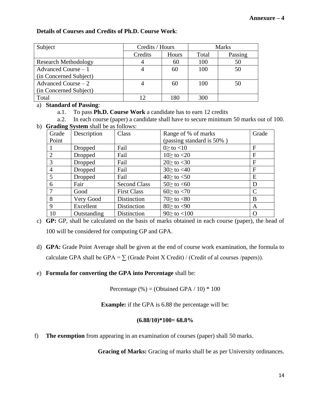### **Details of Courses and Credits of Ph.D. Course Work**:

| Subject                     | Credits / Hours |       | <b>Marks</b> |         |
|-----------------------------|-----------------|-------|--------------|---------|
|                             | Credits         | Hours | Total        | Passing |
| <b>Research Methodology</b> |                 | 60    | 100          | 50      |
| Advanced Course $-1$        |                 | 60    | 100          | 50      |
| (in Concerned Subject)      |                 |       |              |         |
| Advanced Course $-2$        |                 | 60    | 100          | 50      |
| (in Concerned Subject)      |                 |       |              |         |
| Total                       |                 | 180   | 300          |         |

### a) **Standard of Passing**:

- a.1. To pass **Ph.D. Course Work** a candidate has to earn 12 credits
- a.2. In each course (paper) a candidate shall have to secure minimum 50 marks out of 100.

#### b) **Grading System** shall be as follows:

| Grade          | ె ∸<br>Description | Class               | Range of % of marks       | Grade         |
|----------------|--------------------|---------------------|---------------------------|---------------|
| Point          |                    |                     | (passing standard is 50%) |               |
|                | Dropped            | Fail                | $0 \geq$ to $< 10$        | $\mathbf{F}$  |
| $\overline{2}$ | Dropped            | Fail                | $10 \geq$ to $\leq 20$    | F             |
| 3              | Dropped            | Fail                | $20 \geq$ to <30          | F             |
| 4              | Dropped            | Fail                | $30$ to $40$              | F             |
| 5              | Dropped            | Fail                | $40 \geq$ to $< 50$       | E             |
| 6              | Fair               | <b>Second Class</b> | $50 \geq$ to $<60$        | D             |
| 7              | Good               | <b>First Class</b>  | $60$ to $< 70$            | $\mathcal{C}$ |
| 8              | Very Good          | Distinction         | $70 \geq$ to $< 80$       | B             |
| 9              | Excellent          | Distinction         | $80 \geq$ to <90          | A             |
| 10             | Outstanding        | Distinction         | $90$ to $< 100$           | $\Omega$      |

- c) **GP:** GP, shall be calculated on the basis of marks obtained in each course (paper), the head of 100 will be considered for computing GP and GPA.
- d) **GPA:** Grade Point Average shall be given at the end of course work examination, the formula to calculate GPA shall be GPA =  $\sum$  (Grade Point X Credit) / (Credit of al courses /papers)).
- e) **Formula for converting the GPA into Percentage** shall be:

Percentage  $(\% ) = (Obtained GPA / 10) * 100$ 

**Example:** if the GPA is 6.88 the percentage will be:

### **(6.88/10)\*100= 68.8%**

f) **The exemption** from appearing in an examination of courses (paper) shall 50 marks.

**Gracing of Marks:** Gracing of marks shall be as per University ordinances.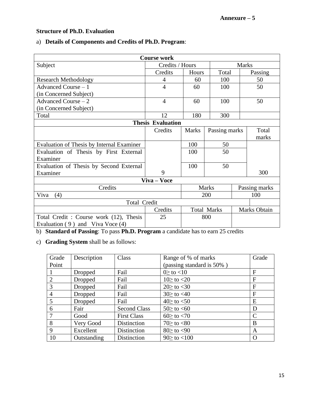### **Structure of Ph.D. Evaluation**

## a) **Details of Components and Credits of Ph.D. Program**:

|                                           | <b>Course work</b>       |              |                    |               |              |
|-------------------------------------------|--------------------------|--------------|--------------------|---------------|--------------|
| Subject                                   | Credits / Hours          |              | <b>Marks</b>       |               |              |
|                                           | Credits                  | Hours        | Total              |               | Passing      |
| <b>Research Methodology</b>               | 4                        | 60           | 100                |               | 50           |
| Advanced Course - 1                       | $\overline{4}$           | 100<br>60    |                    |               | 50           |
| (in Concerned Subject)                    |                          |              |                    |               |              |
| Advanced Course - 2                       | $\overline{4}$           | 60           | 100                |               | 50           |
| (in Concerned Subject)                    |                          |              |                    |               |              |
| Total                                     | 12                       | 180          | 300                |               |              |
|                                           | <b>Thesis Evaluation</b> |              |                    |               |              |
|                                           | Credits                  | <b>Marks</b> | Passing marks      |               | Total        |
|                                           |                          |              |                    |               | marks        |
| Evaluation of Thesis by Internal Examiner |                          | 100          | 50                 |               |              |
| Evaluation of Thesis by First External    |                          | 100          | 50                 |               |              |
| Examiner                                  |                          |              |                    |               |              |
| Evaluation of Thesis by Second External   |                          | 100          | 50                 |               |              |
| Examiner                                  | 9                        |              |                    |               | 300          |
|                                           | Viva - Voce              |              |                    |               |              |
| Credits                                   |                          | <b>Marks</b> |                    | Passing marks |              |
| Viva<br>(4)                               |                          | 200          |                    | 100           |              |
| <b>Total Credit</b>                       |                          |              |                    |               |              |
|                                           | Credits                  |              | <b>Total Marks</b> |               | Marks Obtain |
| Total Credit: Course work (12), Thesis    | 25                       |              | 800                |               |              |
| Evaluation $(9)$ and Viva Voce $(4)$      |                          |              |                    |               |              |

b) **Standard of Passing**: To pass **Ph.D. Program** a candidate has to earn 25 credits

c) **Grading System** shall be as follows:

| Grade          | Description | Class               | Range of % of marks       | Grade            |
|----------------|-------------|---------------------|---------------------------|------------------|
| Point          |             |                     | (passing standard is 50%) |                  |
|                | Dropped     | Fail                | $0 \geq$ to $< 10$        | F                |
| 2              | Dropped     | Fail                | $10 \geq$ to $\leq 20$    | F                |
| 3              | Dropped     | Fail                | $20 \geq$ to $< 30$       | F                |
| $\overline{4}$ | Dropped     | Fail                | $30 \geq$ to <40          | F                |
| 5              | Dropped     | Fail                | $40 \geq$ to $< 50$       | E                |
| 6              | Fair        | <b>Second Class</b> | $50$ to $<60$             | D                |
| 7              | Good        | <b>First Class</b>  | $60 \geq$ to $< 70$       | C                |
| 8              | Very Good   | Distinction         | $70 \geq$ to $< 80$       | B                |
| 9              | Excellent   | Distinction         | $80 \geq$ to <90          | A                |
| 10             | Outstanding | Distinction         | $90$ to $< 100$           | $\left( \right)$ |